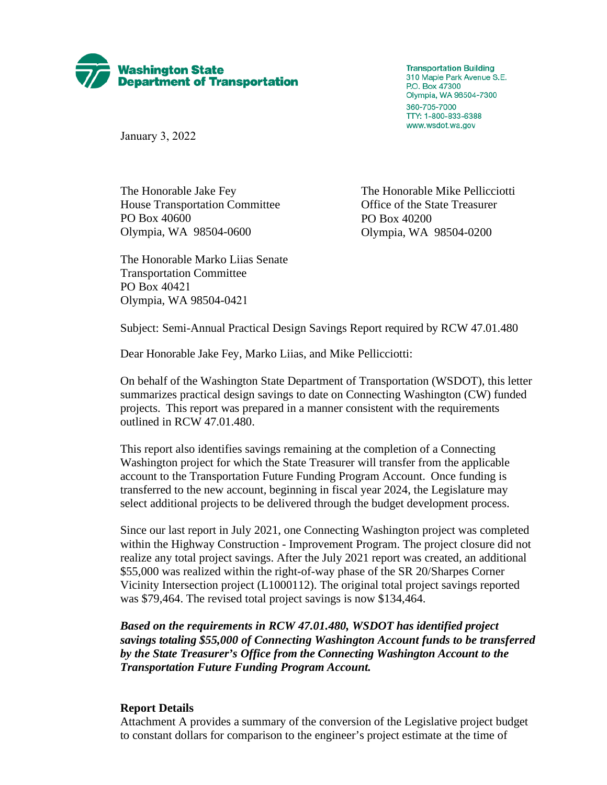

**Transportation Building** 310 Maple Park Avenue S.E. P.O. Box 47300 Olympia, WA 98504-7300 360-705-7000 TTY: 1-800-833-6388 www.wsdot.wa.gov

January 3, 2022

The Honorable Jake Fey The Honorable Mike Pellicciotti House Transportation Committee Office of the State Treasurer PO Box 40600 PO Box 40200 Olympia, WA 98504-0600 Olympia, WA 98504-0200

The Honorable Marko Liias Senate Transportation Committee PO Box 40421 Olympia, WA 98504-0421

Subject: Semi-Annual Practical Design Savings Report required by RCW 47.01.480

Dear Honorable Jake Fey, Marko Liias, and Mike Pellicciotti:

On behalf of the Washington State Department of Transportation (WSDOT), this letter summarizes practical design savings to date on Connecting Washington (CW) funded projects. This report was prepared in a manner consistent with the requirements outlined in RCW 47.01.480.

This report also identifies savings remaining at the completion of a Connecting Washington project for which the State Treasurer will transfer from the applicable account to the Transportation Future Funding Program Account. Once funding is transferred to the new account, beginning in fiscal year 2024, the Legislature may select additional projects to be delivered through the budget development process.

Since our last report in July 2021, one Connecting Washington project was completed within the Highway Construction - Improvement Program. The project closure did not realize any total project savings. After the July 2021 report was created, an additional \$55,000 was realized within the right-of-way phase of the SR 20/Sharpes Corner Vicinity Intersection project (L1000112). The original total project savings reported was \$79,464. The revised total project savings is now \$134,464.

*Based on the requirements in RCW 47.01.480, WSDOT has identified project savings totaling \$55,000 of Connecting Washington Account funds to be transferred by the State Treasurer's Office from the Connecting Washington Account to the Transportation Future Funding Program Account.*

#### **Report Details**

Attachment A provides a summary of the conversion of the Legislative project budget to constant dollars for comparison to the engineer's project estimate at the time of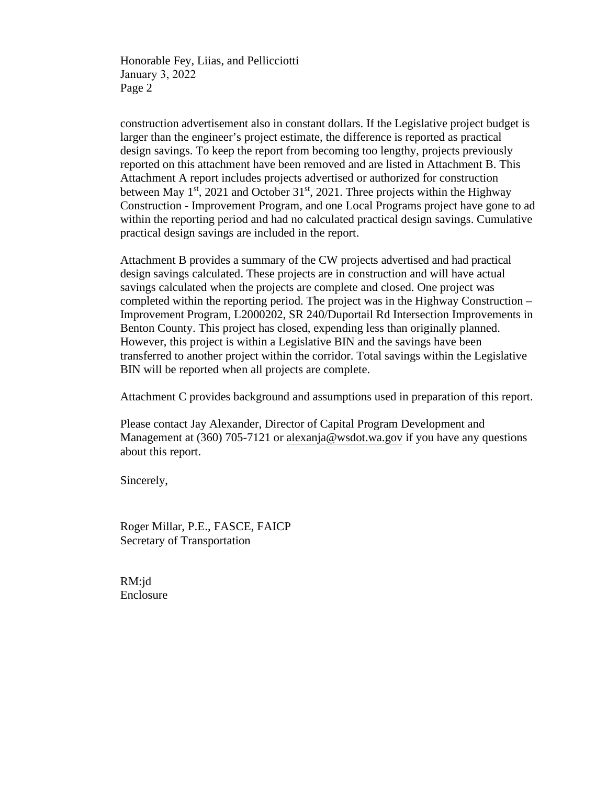Honorable Fey, Liias, and Pellicciotti January 3, 2022 Page 2

construction advertisement also in constant dollars. If the Legislative project budget is larger than the engineer's project estimate, the difference is reported as practical design savings. To keep the report from becoming too lengthy, projects previously reported on this attachment have been removed and are listed in Attachment B. This Attachment A report includes projects advertised or authorized for construction between May  $1<sup>st</sup>$ , 2021 and October 31 $<sup>st</sup>$ , 2021. Three projects within the Highway</sup> Construction - Improvement Program, and one Local Programs project have gone to ad within the reporting period and had no calculated practical design savings. Cumulative practical design savings are included in the report.

Attachment B provides a summary of the CW projects advertised and had practical design savings calculated. These projects are in construction and will have actual savings calculated when the projects are complete and closed. One project was completed within the reporting period. The project was in the Highway Construction – Improvement Program, L2000202, SR 240/Duportail Rd Intersection Improvements in Benton County. This project has closed, expending less than originally planned. However, this project is within a Legislative BIN and the savings have been transferred to another project within the corridor. Total savings within the Legislative BIN will be reported when all projects are complete.

Attachment C provides background and assumptions used in preparation of this report.

Please contact Jay Alexander, Director of Capital Program Development and Management at (360) 705-7121 o[r alexanja@wsdot.wa.gov](mailto:alexanja@wsdot.wa.gov) if you have any questions about this report.

Sincerely,

Roger Millar, P.E., FASCE, FAICP Secretary of Transportation

RM:jd Enclosure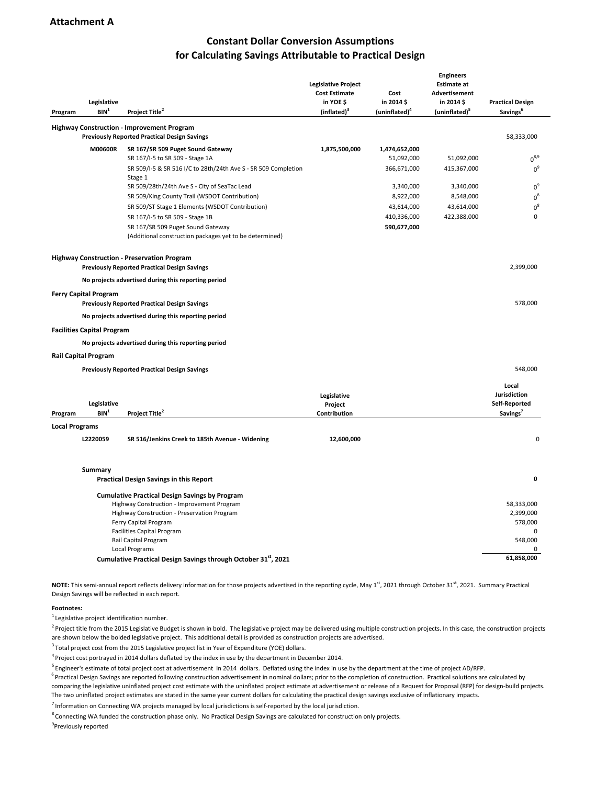## **Constant Dollar Conversion Assumptions for Calculating Savings Attributable to Practical Design**

| Program               | Legislative<br>BIN <sup>1</sup>   | Project Title <sup>2</sup>                                                                                | <b>Legislative Project</b><br><b>Cost Estimate</b><br>in YOE \$<br>(inflated) <sup>3</sup> | Cost<br>in 2014 \$<br>(uninflated) <sup>4</sup> | <b>Engineers</b><br><b>Estimate at</b><br><b>Advertisement</b><br>in 2014 \$<br>(uninflated) <sup>5</sup> | <b>Practical Design</b><br>Savings <sup>6</sup>                |  |
|-----------------------|-----------------------------------|-----------------------------------------------------------------------------------------------------------|--------------------------------------------------------------------------------------------|-------------------------------------------------|-----------------------------------------------------------------------------------------------------------|----------------------------------------------------------------|--|
|                       |                                   | <b>Highway Construction - Improvement Program</b>                                                         |                                                                                            |                                                 |                                                                                                           |                                                                |  |
|                       |                                   | <b>Previously Reported Practical Design Savings</b>                                                       |                                                                                            |                                                 |                                                                                                           | 58,333,000                                                     |  |
|                       | M00600R                           | SR 167/SR 509 Puget Sound Gateway                                                                         | 1,875,500,000                                                                              | 1,474,652,000                                   |                                                                                                           | $0^{8,9}$                                                      |  |
|                       |                                   | SR 167/I-5 to SR 509 - Stage 1A<br>SR 509/I-5 & SR 516 I/C to 28th/24th Ave S - SR 509 Completion         |                                                                                            | 51,092,000<br>366,671,000                       | 51,092,000<br>415,367,000                                                                                 | $0^9$                                                          |  |
|                       |                                   | Stage 1                                                                                                   |                                                                                            |                                                 |                                                                                                           |                                                                |  |
|                       |                                   | SR 509/28th/24th Ave S - City of SeaTac Lead                                                              |                                                                                            | 3,340,000                                       | 3,340,000                                                                                                 | $0^9$                                                          |  |
|                       |                                   | SR 509/King County Trail (WSDOT Contribution)                                                             |                                                                                            | 8,922,000                                       | 8,548,000                                                                                                 | $0^8$                                                          |  |
|                       |                                   | SR 509/ST Stage 1 Elements (WSDOT Contribution)                                                           |                                                                                            | 43,614,000                                      | 43,614,000                                                                                                | $0^8$                                                          |  |
|                       |                                   | SR 167/I-5 to SR 509 - Stage 1B                                                                           |                                                                                            | 410,336,000                                     | 422,388,000                                                                                               | $\mathbf 0$                                                    |  |
|                       |                                   | SR 167/SR 509 Puget Sound Gateway<br>(Additional construction packages yet to be determined)              |                                                                                            | 590,677,000                                     |                                                                                                           |                                                                |  |
|                       |                                   | <b>Highway Construction - Preservation Program</b><br><b>Previously Reported Practical Design Savings</b> |                                                                                            |                                                 |                                                                                                           | 2,399,000                                                      |  |
|                       |                                   | No projects advertised during this reporting period                                                       |                                                                                            |                                                 |                                                                                                           |                                                                |  |
|                       | <b>Ferry Capital Program</b>      | <b>Previously Reported Practical Design Savings</b>                                                       |                                                                                            |                                                 |                                                                                                           | 578,000                                                        |  |
|                       |                                   |                                                                                                           |                                                                                            |                                                 |                                                                                                           |                                                                |  |
|                       |                                   | No projects advertised during this reporting period                                                       |                                                                                            |                                                 |                                                                                                           |                                                                |  |
|                       | <b>Facilities Capital Program</b> |                                                                                                           |                                                                                            |                                                 |                                                                                                           |                                                                |  |
|                       |                                   | No projects advertised during this reporting period                                                       |                                                                                            |                                                 |                                                                                                           |                                                                |  |
|                       | <b>Rail Capital Program</b>       |                                                                                                           |                                                                                            |                                                 |                                                                                                           |                                                                |  |
|                       |                                   | <b>Previously Reported Practical Design Savings</b>                                                       |                                                                                            |                                                 |                                                                                                           | 548,000                                                        |  |
| Program               | Legislative<br>BIN <sup>1</sup>   | Project Title <sup>2</sup>                                                                                | Legislative<br>Project<br>Contribution                                                     |                                                 |                                                                                                           | Local<br>Jurisdiction<br>Self-Reported<br>Savings <sup>7</sup> |  |
| <b>Local Programs</b> |                                   |                                                                                                           |                                                                                            |                                                 |                                                                                                           |                                                                |  |
|                       | L2220059                          | SR 516/Jenkins Creek to 185th Avenue - Widening                                                           | 12,600,000                                                                                 |                                                 |                                                                                                           | $\mathbf 0$                                                    |  |
|                       | Summary                           |                                                                                                           |                                                                                            |                                                 |                                                                                                           |                                                                |  |
|                       |                                   | <b>Practical Design Savings in this Report</b>                                                            |                                                                                            |                                                 |                                                                                                           | 0                                                              |  |
|                       |                                   | <b>Cumulative Practical Design Savings by Program</b>                                                     |                                                                                            |                                                 |                                                                                                           |                                                                |  |
|                       |                                   | Highway Construction - Improvement Program                                                                |                                                                                            |                                                 |                                                                                                           | 58,333,000                                                     |  |
|                       |                                   | Highway Construction - Preservation Program                                                               |                                                                                            |                                                 |                                                                                                           | 2,399,000<br>578,000                                           |  |
|                       | Ferry Capital Program             |                                                                                                           |                                                                                            |                                                 |                                                                                                           |                                                                |  |
|                       |                                   | <b>Facilities Capital Program</b>                                                                         |                                                                                            |                                                 |                                                                                                           | 0                                                              |  |
|                       |                                   | Rail Capital Program<br><b>Local Programs</b>                                                             |                                                                                            |                                                 | 548,000<br>$\Omega$                                                                                       |                                                                |  |
|                       |                                   | Cumulative Practical Design Savings through October 31 <sup>st</sup> , 2021                               |                                                                                            |                                                 |                                                                                                           | 61,858,000                                                     |  |
|                       |                                   |                                                                                                           |                                                                                            |                                                 |                                                                                                           |                                                                |  |

NOTE: This semi-annual report reflects delivery information for those projects advertised in the reporting cycle, May 1<sup>st</sup>, 2021 through October 31<sup>st</sup>, 2021. Summary Practical Design Savings will be reflected in each report.

#### **Footnotes:**

<sup>1</sup> Legislative project identification number.

 $<sup>2</sup>$  Project title from the 2015 Legislative Budget is shown in bold. The legislative project may be delivered using multiple construction projects. In this case, the construction projects</sup> are shown below the bolded legislative project. This additional detail is provided as construction projects are advertised.

<sup>3</sup> Total project cost from the 2015 Legislative project list in Year of Expenditure (YOE) dollars.

4 Project cost portrayed in 2014 dollars deflated by the index in use by the department in December 2014.

<sup>5</sup> Engineer's estimate of total project cost at advertisement in 2014 dollars. Deflated using the index in use by the department at the time of project AD/RFP.

 $6$  Practical Design Savings are reported following construction advertisement in nominal dollars; prior to the completion of construction. Practical solutions are calculated by comparing the legislative uninflated project cost estimate with the uninflated project estimate at advertisement or release of a Request for Proposal (RFP) for design-build projects. The two uninflated project estimates are stated in the same year current dollars for calculating the practical design savings exclusive of inflationary impacts.

 $^7$  Information on Connecting WA projects managed by local jurisdictions is self-reported by the local jurisdiction.

 $^8$  Connecting WA funded the construction phase only. No Practical Design Savings are calculated for construction only projects. <sup>9</sup>Previously reported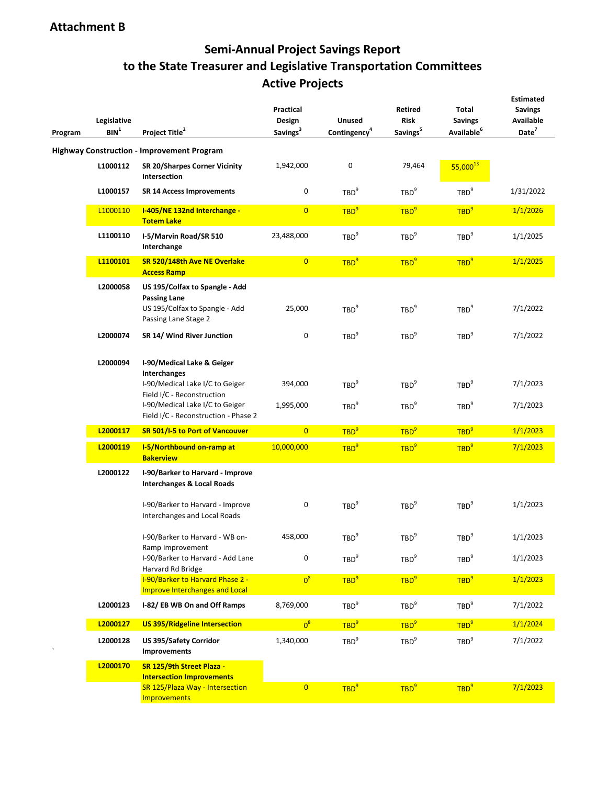# **Semi-Annual Project Savings Report to the State Treasurer and Legislative Transportation Committees Active Projects**

| Program | Legislative<br>BIN <sup>1</sup> | Project Title <sup>2</sup>                                                                                                                                                             | <b>Practical</b><br>Design<br>Savings <sup>3</sup> | <b>Unused</b><br>Contingency <sup>4</sup> | <b>Retired</b><br>Risk<br>Savings <sup>5</sup> | <b>Total</b><br><b>Savings</b><br>Available <sup>6</sup> | <b>Estimated</b><br><b>Savings</b><br><b>Available</b><br>Date <sup>7</sup> |  |
|---------|---------------------------------|----------------------------------------------------------------------------------------------------------------------------------------------------------------------------------------|----------------------------------------------------|-------------------------------------------|------------------------------------------------|----------------------------------------------------------|-----------------------------------------------------------------------------|--|
|         |                                 | <b>Highway Construction - Improvement Program</b>                                                                                                                                      |                                                    |                                           |                                                |                                                          |                                                                             |  |
|         | L1000112                        | SR 20/Sharpes Corner Vicinity<br>Intersection                                                                                                                                          | 1,942,000                                          | 0                                         | 79,464                                         | 55,000 <sup>13</sup>                                     |                                                                             |  |
|         | L1000157                        | <b>SR 14 Access Improvements</b>                                                                                                                                                       | 0                                                  | TBD <sup>9</sup>                          | TBD <sup>9</sup>                               | TBD <sup>9</sup>                                         | 1/31/2022                                                                   |  |
|         | L1000110                        | I-405/NE 132nd Interchange -<br><b>Totem Lake</b>                                                                                                                                      | $\overline{0}$                                     | TBD <sup>9</sup>                          | TBD <sup>9</sup>                               | TBD <sup>9</sup>                                         | 1/1/2026                                                                    |  |
|         | L1100110                        | I-5/Marvin Road/SR 510<br>Interchange                                                                                                                                                  | 23,488,000                                         | TBD <sup>9</sup>                          | TBD <sup>9</sup>                               | TBD <sup>9</sup>                                         | 1/1/2025                                                                    |  |
|         | L1100101                        | SR 520/148th Ave NE Overlake<br><b>Access Ramp</b>                                                                                                                                     | $\overline{0}$                                     | TBD <sup>9</sup>                          | TBD <sup>9</sup>                               | TBD <sup>9</sup>                                         | 1/1/2025                                                                    |  |
|         | L2000058                        | US 195/Colfax to Spangle - Add<br><b>Passing Lane</b><br>US 195/Colfax to Spangle - Add<br>Passing Lane Stage 2                                                                        | 25,000                                             | TBD <sup>9</sup>                          | TBD <sup>9</sup>                               | TBD <sup>9</sup>                                         | 7/1/2022                                                                    |  |
|         | L2000074                        | SR 14/ Wind River Junction                                                                                                                                                             | 0                                                  | TBD <sup>9</sup>                          | TBD <sup>9</sup>                               | TBD <sup>9</sup>                                         | 7/1/2022                                                                    |  |
|         | L2000094                        | I-90/Medical Lake & Geiger<br>Interchanges<br>I-90/Medical Lake I/C to Geiger<br>Field I/C - Reconstruction<br>I-90/Medical Lake I/C to Geiger<br>Field I/C - Reconstruction - Phase 2 | 394,000<br>1,995,000                               | TBD <sup>9</sup><br>TBD <sup>9</sup>      | TBD <sup>9</sup><br>TBD <sup>9</sup>           | TBD <sup>9</sup><br>TBD <sup>9</sup>                     | 7/1/2023<br>7/1/2023                                                        |  |
|         | L2000117                        | SR 501/I-5 to Port of Vancouver                                                                                                                                                        | $\overline{0}$                                     | TBD <sup>9</sup>                          | TBD <sup>9</sup>                               | TBD <sup>9</sup>                                         | 1/1/2023                                                                    |  |
|         | L2000119                        | I-5/Northbound on-ramp at<br><b>Bakerview</b>                                                                                                                                          | 10,000,000                                         | TBD <sup>9</sup>                          | TBD <sup>9</sup>                               | TBD <sup>9</sup>                                         | 7/1/2023                                                                    |  |
|         | L2000122                        | I-90/Barker to Harvard - Improve<br><b>Interchanges &amp; Local Roads</b>                                                                                                              |                                                    |                                           |                                                |                                                          |                                                                             |  |
|         |                                 | I-90/Barker to Harvard - Improve<br>Interchanges and Local Roads                                                                                                                       | 0                                                  | TBD <sup>9</sup>                          | TBD <sup>9</sup>                               | TBD <sup>9</sup>                                         | 1/1/2023                                                                    |  |
|         |                                 | I-90/Barker to Harvard - WB on-<br>Ramp Improvement                                                                                                                                    | 458,000                                            | TBD <sup>9</sup>                          | TBD <sup>9</sup>                               | TBD <sup>9</sup>                                         | 1/1/2023                                                                    |  |
|         |                                 | I-90/Barker to Harvard - Add Lane<br>Harvard Rd Bridge                                                                                                                                 | 0                                                  | TBD <sup>9</sup>                          | TBD <sup>9</sup>                               | TBD <sup>9</sup>                                         | 1/1/2023                                                                    |  |
|         |                                 | I-90/Barker to Harvard Phase 2 -<br>Improve Interchanges and Local                                                                                                                     | $0^8$                                              | TBD <sup>9</sup>                          | TBD <sup>9</sup>                               | TBD <sup>9</sup>                                         | 1/1/2023                                                                    |  |
|         | L2000123                        | I-82/EB WB On and Off Ramps                                                                                                                                                            | 8,769,000                                          | TBD <sup>9</sup>                          | TBD <sup>9</sup>                               | TBD <sup>9</sup>                                         | 7/1/2022                                                                    |  |
|         | L2000127                        | <b>US 395/Ridgeline Intersection</b>                                                                                                                                                   | $0^8$                                              | TBD <sup>9</sup>                          | TBD <sup>9</sup>                               | TBD <sup>9</sup>                                         | 1/1/2024                                                                    |  |
|         | L2000128                        | US 395/Safety Corridor<br>Improvements                                                                                                                                                 | 1,340,000                                          | TBD <sup>9</sup>                          | TBD <sup>9</sup>                               | TBD <sup>9</sup>                                         | 7/1/2022                                                                    |  |
|         | L2000170                        | SR 125/9th Street Plaza -<br><b>Intersection Improvements</b>                                                                                                                          |                                                    |                                           |                                                |                                                          |                                                                             |  |
|         |                                 | SR 125/Plaza Way - Intersection<br><b>Improvements</b>                                                                                                                                 | $\overline{0}$                                     | TBD <sup>9</sup>                          | TBD <sup>9</sup>                               | TBD <sup>9</sup>                                         | 7/1/2023                                                                    |  |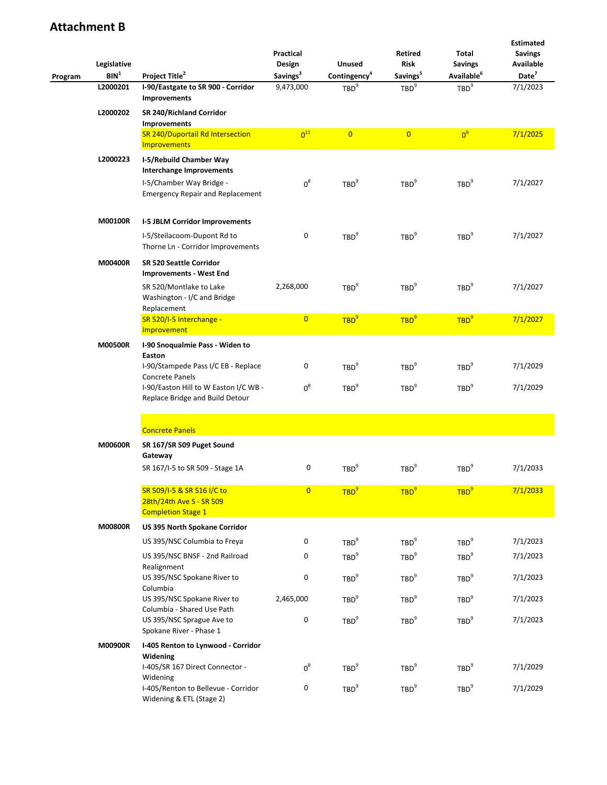|         | Legislative      |                                                                                                 | Practical<br>Design<br><b>Unused</b> |                                      | Retired<br><b>Risk</b>               | Total<br><b>Savings</b>              | <b>Estimated</b><br><b>Savings</b><br><b>Available</b> |
|---------|------------------|-------------------------------------------------------------------------------------------------|--------------------------------------|--------------------------------------|--------------------------------------|--------------------------------------|--------------------------------------------------------|
| Program | BIN <sup>1</sup> | Project Title <sup>2</sup>                                                                      | Savings <sup>3</sup>                 | Contingency <sup>4</sup>             | Savings <sup>5</sup>                 | Available <sup>6</sup>               | Date <sup>7</sup>                                      |
|         | L2000201         | I-90/Eastgate to SR 900 - Corridor<br><b>Improvements</b>                                       | 9,473,000                            | TBD <sup>9</sup>                     | TBD <sup>9</sup>                     | TBD <sup>9</sup>                     | 7/1/2023                                               |
|         | L2000202         | SR 240/Richland Corridor<br>Improvements                                                        |                                      |                                      |                                      |                                      |                                                        |
|         |                  | SR 240/Duportail Rd Intersection<br>Improvements                                                | 0 <sup>11</sup>                      | $\overline{0}$                       | $\overline{0}$                       | $0^9$                                | 7/1/2025                                               |
|         | L2000223         | I-5/Rebuild Chamber Way<br>Interchange Improvements                                             |                                      |                                      |                                      |                                      |                                                        |
|         |                  | I-5/Chamber Way Bridge -<br><b>Emergency Repair and Replacement</b>                             | $0^8$                                | TBD <sup>9</sup>                     | TBD <sup>9</sup>                     | TBD <sup>9</sup>                     | 7/1/2027                                               |
|         | M00100R          | <b>I-5 JBLM Corridor Improvements</b>                                                           |                                      |                                      |                                      |                                      |                                                        |
|         |                  | I-5/Steilacoom-Dupont Rd to<br>Thorne Ln - Corridor Improvements                                | 0                                    | TBD <sup>9</sup>                     | TBD <sup>9</sup>                     | TBD <sup>9</sup>                     | 7/1/2027                                               |
|         | M00400R          | SR 520 Seattle Corridor<br><b>Improvements - West End</b>                                       |                                      |                                      |                                      |                                      |                                                        |
|         |                  | SR 520/Montlake to Lake<br>Washington - I/C and Bridge<br>Replacement                           | 2,268,000                            | TBD <sup>9</sup>                     | TBD <sup>9</sup>                     | TBD <sup>9</sup>                     | 7/1/2027                                               |
|         |                  | SR 520/I-5 Interchange -<br>Improvement                                                         | $\overline{0}$                       | TBD <sup>9</sup>                     | TBD <sup>9</sup>                     | TBD <sup>9</sup>                     | 7/1/2027                                               |
|         | <b>M00500R</b>   | I-90 Snoqualmie Pass - Widen to<br>Easton                                                       |                                      |                                      |                                      |                                      |                                                        |
|         |                  | I-90/Stampede Pass I/C EB - Replace<br>Concrete Panels<br>I-90/Easton Hill to W Easton I/C WB - | 0<br>$0^8$                           | TBD <sup>9</sup><br>TBD <sup>9</sup> | TBD <sup>9</sup><br>TBD <sup>9</sup> | TBD <sup>9</sup><br>TBD <sup>9</sup> | 7/1/2029<br>7/1/2029                                   |
|         |                  | Replace Bridge and Build Detour                                                                 |                                      |                                      |                                      |                                      |                                                        |
|         |                  | <b>Concrete Panels</b>                                                                          |                                      |                                      |                                      |                                      |                                                        |
|         | <b>M00600R</b>   | SR 167/SR 509 Puget Sound<br>Gateway                                                            |                                      |                                      |                                      |                                      |                                                        |
|         |                  | SR 167/I-5 to SR 509 - Stage 1A                                                                 | 0                                    | TBD <sup>9</sup>                     | TBD <sup>9</sup>                     | TBD <sup>9</sup>                     | 7/1/2033                                               |
|         |                  | SR 509/I-5 & SR 516 I/C to<br>28th/24th Ave S - SR 509<br><b>Completion Stage 1</b>             | $\overline{0}$                       | TBD <sup>9</sup>                     | TBD <sup>9</sup>                     | TBD <sup>9</sup>                     | 7/1/2033                                               |
|         | <b>M00800R</b>   | US 395 North Spokane Corridor                                                                   |                                      |                                      |                                      |                                      |                                                        |
|         |                  | US 395/NSC Columbia to Freya<br>US 395/NSC BNSF - 2nd Railroad                                  | 0<br>0                               | TBD <sup>9</sup><br>TBD <sup>9</sup> | TBD <sup>9</sup><br>TBD <sup>9</sup> | TBD <sup>9</sup><br>TBD <sup>9</sup> | 7/1/2023<br>7/1/2023                                   |
|         |                  | Realignment<br>US 395/NSC Spokane River to                                                      | 0                                    | TBD <sup>9</sup>                     | TBD <sup>9</sup>                     | TBD <sup>9</sup>                     | 7/1/2023                                               |
|         |                  | Columbia<br>US 395/NSC Spokane River to                                                         | 2,465,000                            | TBD <sup>9</sup>                     | TBD <sup>9</sup>                     | TBD <sup>9</sup>                     | 7/1/2023                                               |
|         |                  | Columbia - Shared Use Path<br>US 395/NSC Sprague Ave to<br>Spokane River - Phase 1              | 0                                    | TBD <sup>9</sup>                     | TBD <sup>9</sup>                     | TBD <sup>9</sup>                     | 7/1/2023                                               |
|         | M00900R          | I-405 Renton to Lynwood - Corridor<br>Widening                                                  |                                      |                                      |                                      |                                      |                                                        |
|         |                  | I-405/SR 167 Direct Connector -<br>Widening                                                     | $0^8$                                | TBD <sup>9</sup>                     | TBD <sup>9</sup>                     | TBD <sup>9</sup>                     | 7/1/2029                                               |
|         |                  | I-405/Renton to Bellevue - Corridor<br>Widening & ETL (Stage 2)                                 | 0                                    | TBD <sup>9</sup>                     | TBD <sup>9</sup>                     | TBD <sup>9</sup>                     | 7/1/2029                                               |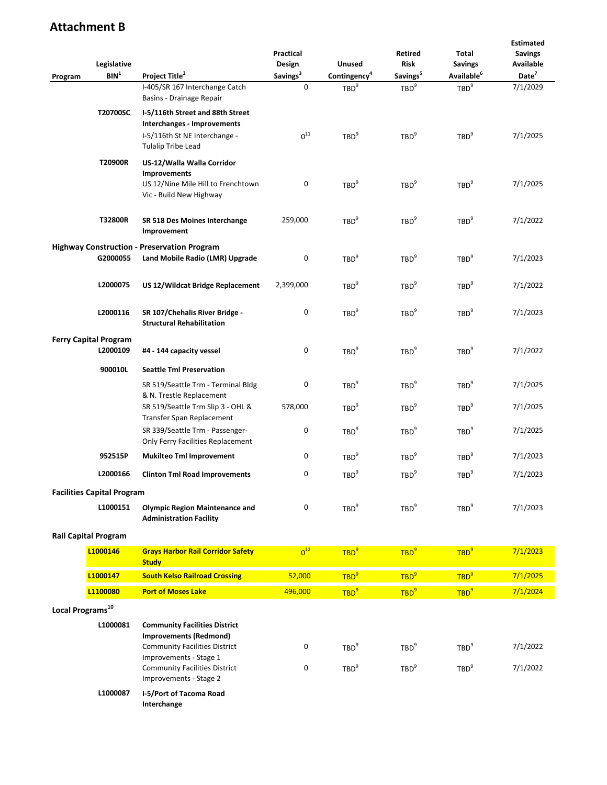|                              | Legislative                                                |                                                                                                                               | Practical<br>Design  | <b>Unused</b>                        | Retired<br><b>Risk</b>               | Total<br><b>Savings</b>              | <b>Estimated</b><br><b>Savings</b><br>Available |
|------------------------------|------------------------------------------------------------|-------------------------------------------------------------------------------------------------------------------------------|----------------------|--------------------------------------|--------------------------------------|--------------------------------------|-------------------------------------------------|
| Program                      | BIN <sup>1</sup>                                           | Project Title <sup>2</sup>                                                                                                    | Savings <sup>3</sup> | Contingency <sup>4</sup>             | Savings <sup>5</sup>                 | Available <sup>6</sup>               | Date <sup>7</sup>                               |
|                              | I-405/SR 167 Interchange Catch<br>Basins - Drainage Repair |                                                                                                                               | 0                    | TBD <sup>9</sup>                     | TBD <sup>9</sup>                     | TBD <sup>9</sup>                     | 7/1/2029                                        |
|                              | T20700SC                                                   | I-5/116th Street and 88th Street<br>Interchanges - Improvements<br>I-5/116th St NE Interchange -<br><b>Tulalip Tribe Lead</b> | $0^{11}$             | TBD <sup>9</sup>                     | TBD <sup>9</sup>                     | TBD <sup>9</sup>                     | 7/1/2025                                        |
|                              | T20900R                                                    | US-12/Walla Walla Corridor<br><b>Improvements</b><br>US 12/Nine Mile Hill to Frenchtown<br>Vic - Build New Highway            | 0                    | TBD <sup>9</sup>                     | TBD <sup>9</sup>                     | TBD <sup>9</sup>                     | 7/1/2025                                        |
|                              | T32800R                                                    | SR 518 Des Moines Interchange<br>Improvement                                                                                  | 259,000              | TBD <sup>9</sup>                     | TBD <sup>9</sup>                     | TBD <sup>9</sup>                     | 7/1/2022                                        |
|                              | G2000055                                                   | <b>Highway Construction - Preservation Program</b><br>Land Mobile Radio (LMR) Upgrade                                         | 0                    | TBD <sup>9</sup>                     | TBD <sup>9</sup>                     | TBD <sup>9</sup>                     | 7/1/2023                                        |
|                              | L2000075                                                   | US 12/Wildcat Bridge Replacement                                                                                              | 2,399,000            | TBD <sup>9</sup>                     | TBD <sup>9</sup>                     | TBD <sup>9</sup>                     | 7/1/2022                                        |
|                              | L2000116                                                   | SR 107/Chehalis River Bridge -<br><b>Structural Rehabilitation</b>                                                            | 0                    | TBD <sup>9</sup>                     | TBD <sup>9</sup>                     | TBD <sup>9</sup>                     | 7/1/2023                                        |
|                              | <b>Ferry Capital Program</b>                               |                                                                                                                               |                      |                                      |                                      |                                      |                                                 |
|                              | L2000109                                                   | #4 - 144 capacity vessel                                                                                                      | 0                    | TBD <sup>9</sup>                     | TBD <sup>9</sup>                     | TBD <sup>9</sup>                     | 7/1/2022                                        |
|                              | 900010L                                                    | <b>Seattle Tml Preservation</b><br>SR 519/Seattle Trm - Terminal Bldg                                                         | 0                    | TBD <sup>9</sup>                     | TBD <sup>9</sup>                     | TBD <sup>9</sup>                     | 7/1/2025                                        |
|                              |                                                            | & N. Trestle Replacement<br>SR 519/Seattle Trm Slip 3 - OHL &<br>Transfer Span Replacement                                    | 578,000              | TBD <sup>9</sup>                     | TBD <sup>9</sup>                     | TBD <sup>9</sup>                     | 7/1/2025                                        |
|                              |                                                            | SR 339/Seattle Trm - Passenger-<br>Only Ferry Facilities Replacement                                                          | 0                    | TBD <sup>9</sup>                     | TBD <sup>9</sup>                     | TBD <sup>9</sup>                     | 7/1/2025                                        |
|                              | 952515P                                                    | <b>Mukilteo Tml Improvement</b>                                                                                               | 0                    | TBD <sup>9</sup>                     | TBD <sup>9</sup>                     | TBD <sup>9</sup>                     | 7/1/2023                                        |
|                              | L2000166                                                   | <b>Clinton Tml Road Improvements</b>                                                                                          | 0                    | TBD <sup>9</sup>                     | TBD <sup>9</sup>                     | TBD <sup>9</sup>                     | 7/1/2023                                        |
|                              | <b>Facilities Capital Program</b>                          |                                                                                                                               |                      |                                      |                                      |                                      |                                                 |
|                              | L1000151                                                   | <b>Olympic Region Maintenance and</b><br><b>Administration Facility</b>                                                       | 0                    | TBD <sup>9</sup>                     | TBD <sup>9</sup>                     | TBD <sup>9</sup>                     | 7/1/2023                                        |
|                              | <b>Rail Capital Program</b>                                |                                                                                                                               |                      |                                      |                                      |                                      |                                                 |
|                              | L1000146                                                   | <b>Grays Harbor Rail Corridor Safety</b><br><b>Study</b>                                                                      | $0^{12}$             | TBD <sup>9</sup>                     | TBD <sup>9</sup>                     | TBD <sup>9</sup>                     | 7/1/2023                                        |
|                              | L1000147                                                   | <b>South Kelso Railroad Crossing</b>                                                                                          | 52,000               | TBD <sup>9</sup>                     | TBD <sup>9</sup>                     | TBD <sup>9</sup>                     | 7/1/2025                                        |
|                              | L1100080                                                   | <b>Port of Moses Lake</b>                                                                                                     | 496,000              | TBD <sup>9</sup>                     | TBD <sup>9</sup>                     | TBD <sup>9</sup>                     | 7/1/2024                                        |
| Local Programs <sup>10</sup> |                                                            |                                                                                                                               |                      |                                      |                                      |                                      |                                                 |
|                              | L1000081                                                   | <b>Community Facilities District</b><br><b>Improvements (Redmond)</b>                                                         |                      |                                      |                                      |                                      |                                                 |
|                              |                                                            | <b>Community Facilities District</b><br>Improvements - Stage 1<br><b>Community Facilities District</b>                        | 0<br>0               | TBD <sup>9</sup><br>TBD <sup>9</sup> | TBD <sup>9</sup><br>TBD <sup>9</sup> | TBD <sup>9</sup><br>TBD <sup>9</sup> | 7/1/2022<br>7/1/2022                            |
|                              |                                                            | Improvements - Stage 2                                                                                                        |                      |                                      |                                      |                                      |                                                 |
|                              | L1000087                                                   | I-5/Port of Tacoma Road<br>Interchange                                                                                        |                      |                                      |                                      |                                      |                                                 |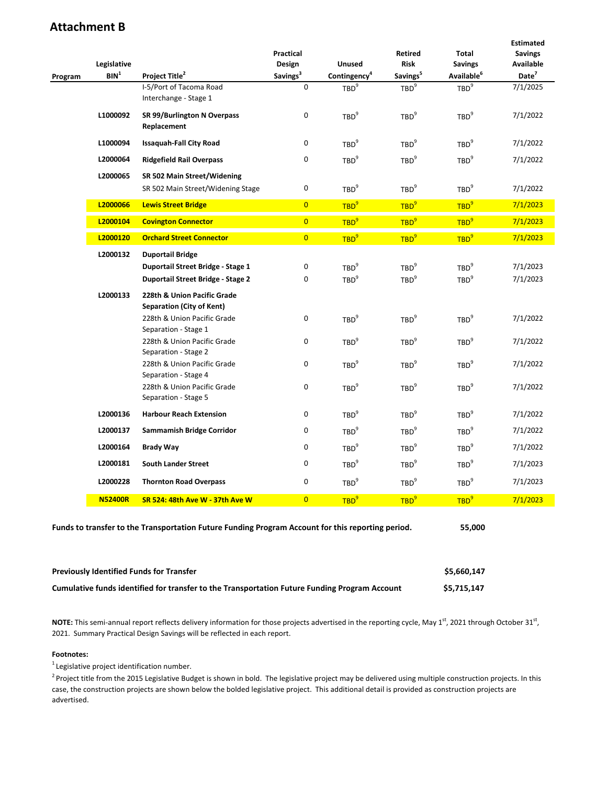|         | Legislative                                            |                                                                                                                                                                                                                                                                     | Practical<br>Design     | Unused                                                                       | <b>Retired</b><br><b>Risk</b>                                                | <b>Total</b><br><b>Savings</b>                                               | <b>Estimated</b><br><b>Savings</b><br>Available |
|---------|--------------------------------------------------------|---------------------------------------------------------------------------------------------------------------------------------------------------------------------------------------------------------------------------------------------------------------------|-------------------------|------------------------------------------------------------------------------|------------------------------------------------------------------------------|------------------------------------------------------------------------------|-------------------------------------------------|
| Program | BIN <sup>1</sup>                                       | Project Title <sup>2</sup>                                                                                                                                                                                                                                          | Savings <sup>3</sup>    | Contingency <sup>4</sup>                                                     | Savings <sup>5</sup>                                                         | Available <sup>6</sup>                                                       | Date <sup>7</sup>                               |
|         |                                                        | I-5/Port of Tacoma Road<br>Interchange - Stage 1                                                                                                                                                                                                                    | 0                       | TBD <sup>9</sup>                                                             | TBD <sup>9</sup>                                                             | TBD <sup>9</sup>                                                             | 7/1/2025                                        |
|         | L1000092<br>SR 99/Burlington N Overpass<br>Replacement |                                                                                                                                                                                                                                                                     | 0                       | TBD <sup>9</sup>                                                             | TBD <sup>9</sup>                                                             | TBD <sup>9</sup>                                                             | 7/1/2022                                        |
|         | L1000094                                               | <b>Issaquah-Fall City Road</b>                                                                                                                                                                                                                                      | 0                       | TBD <sup>9</sup>                                                             | TBD <sup>9</sup>                                                             | TBD <sup>9</sup>                                                             | 7/1/2022                                        |
|         | L2000064                                               | <b>Ridgefield Rail Overpass</b>                                                                                                                                                                                                                                     | 0                       | TBD <sup>9</sup>                                                             | TBD <sup>9</sup>                                                             | TBD <sup>9</sup>                                                             | 7/1/2022                                        |
|         | L2000065                                               | SR 502 Main Street/Widening<br>SR 502 Main Street/Widening Stage                                                                                                                                                                                                    | 0                       | TBD <sup>9</sup>                                                             | TBD <sup>9</sup>                                                             | TBD <sup>9</sup>                                                             | 7/1/2022                                        |
|         | L2000066                                               | <b>Lewis Street Bridge</b>                                                                                                                                                                                                                                          | $\overline{0}$          | TBD <sup>9</sup>                                                             | TBD <sup>9</sup>                                                             | TBD <sup>9</sup>                                                             | 7/1/2023                                        |
|         | L2000104                                               | <b>Covington Connector</b>                                                                                                                                                                                                                                          | $\overline{\mathbf{0}}$ | TBD <sup>9</sup>                                                             | TBD <sup>9</sup>                                                             | TBD <sup>9</sup>                                                             | 7/1/2023                                        |
|         | L2000120                                               | <b>Orchard Street Connector</b>                                                                                                                                                                                                                                     | $\overline{0}$          | TBD <sup>9</sup>                                                             | TBD <sup>9</sup>                                                             | TBD <sup>9</sup>                                                             | 7/1/2023                                        |
|         | L2000132                                               | <b>Duportail Bridge</b><br>Duportail Street Bridge - Stage 1<br>Duportail Street Bridge - Stage 2                                                                                                                                                                   | 0<br>0                  | TBD <sup>9</sup><br>TBD <sup>9</sup>                                         | TBD <sup>9</sup><br>TBD <sup>9</sup>                                         | TBD <sup>9</sup><br>TBD <sup>9</sup>                                         | 7/1/2023<br>7/1/2023                            |
|         | L2000133                                               | 228th & Union Pacific Grade<br><b>Separation (City of Kent)</b><br>228th & Union Pacific Grade<br>Separation - Stage 1<br>228th & Union Pacific Grade<br>Separation - Stage 2<br>228th & Union Pacific Grade<br>Separation - Stage 4<br>228th & Union Pacific Grade | 0<br>0<br>0<br>0        | TBD <sup>9</sup><br>TBD <sup>9</sup><br>TBD <sup>9</sup><br>TBD <sup>9</sup> | TBD <sup>9</sup><br>TBD <sup>9</sup><br>TBD <sup>9</sup><br>TBD <sup>9</sup> | TBD <sup>9</sup><br>TBD <sup>9</sup><br>TBD <sup>9</sup><br>TBD <sup>9</sup> | 7/1/2022<br>7/1/2022<br>7/1/2022<br>7/1/2022    |
|         |                                                        | Separation - Stage 5                                                                                                                                                                                                                                                |                         |                                                                              |                                                                              |                                                                              |                                                 |
|         | L2000136                                               | <b>Harbour Reach Extension</b>                                                                                                                                                                                                                                      | 0                       | TBD <sup>9</sup>                                                             | TBD <sup>9</sup>                                                             | TBD <sup>9</sup>                                                             | 7/1/2022                                        |
|         | L2000137                                               | Sammamish Bridge Corridor                                                                                                                                                                                                                                           | 0                       | TBD <sup>9</sup>                                                             | TBD <sup>9</sup>                                                             | TBD <sup>9</sup>                                                             | 7/1/2022                                        |
|         | L2000164                                               | <b>Brady Way</b>                                                                                                                                                                                                                                                    | 0                       | TBD <sup>9</sup>                                                             | TBD <sup>9</sup>                                                             | TBD <sup>9</sup>                                                             | 7/1/2022                                        |
|         | L2000181                                               | <b>South Lander Street</b>                                                                                                                                                                                                                                          | 0                       | TBD <sup>9</sup>                                                             | TBD <sup>9</sup>                                                             | TBD <sup>9</sup>                                                             | 7/1/2023                                        |
|         | L2000228                                               | <b>Thornton Road Overpass</b>                                                                                                                                                                                                                                       | 0                       | TBD <sup>9</sup>                                                             | TBD <sup>9</sup>                                                             | TBD <sup>9</sup>                                                             | 7/1/2023                                        |
|         | <b>N52400R</b>                                         | SR 524: 48th Ave W - 37th Ave W                                                                                                                                                                                                                                     | $\overline{0}$          | TBD <sup>9</sup>                                                             | TBD <sup>9</sup>                                                             | TBD <sup>9</sup>                                                             | 7/1/2023                                        |
|         |                                                        | Funds to transfer to the Transportation Future Funding Program Account for this reporting period.                                                                                                                                                                   |                         |                                                                              |                                                                              | 55,000                                                                       |                                                 |
|         |                                                        | <b>Previously Identified Funds for Transfer</b>                                                                                                                                                                                                                     |                         |                                                                              |                                                                              | \$5,660,147                                                                  |                                                 |

| Cumulative funds identified for transfer to the Transportation Future Funding Program Account | \$5,715,147 |
|-----------------------------------------------------------------------------------------------|-------------|
|                                                                                               |             |

NOTE: This semi-annual report reflects delivery information for those projects advertised in the reporting cycle, May 1<sup>st</sup>, 2021 through October 31<sup>st</sup>, 2021. Summary Practical Design Savings will be reflected in each report.

#### **Footnotes:**

<sup>1</sup> Legislative project identification number.

<sup>2</sup> Project title from the 2015 Legislative Budget is shown in bold. The legislative project may be delivered using multiple construction projects. In this case, the construction projects are shown below the bolded legislative project. This additional detail is provided as construction projects are advertised.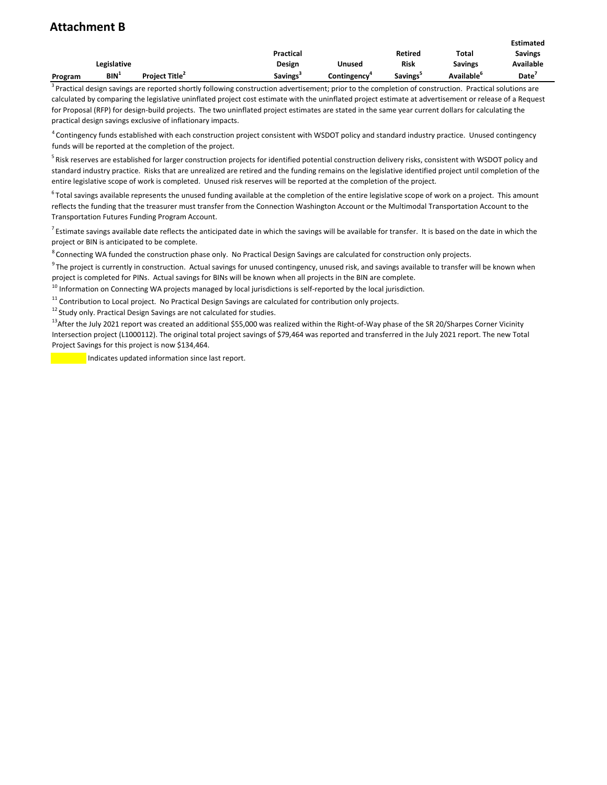|         |             |                      |                  |             |                |                  | <b>Estimated</b> |
|---------|-------------|----------------------|------------------|-------------|----------------|------------------|------------------|
|         |             |                      | <b>Practical</b> |             | <b>Retired</b> | Total            | <b>Savings</b>   |
|         | Legislative |                      | Design           | Unused      | Risk           | Savings          | <b>Available</b> |
| Program | BIN'        | <b>Project Title</b> | Savings          | Contingency | Savings        | <b>Available</b> | Date             |

<sup>3</sup> Practical design savings are reported shortly following construction advertisement; prior to the completion of construction. Practical solutions are calculated by comparing the legislative uninflated project cost estimate with the uninflated project estimate at advertisement or release of a Request for Proposal (RFP) for design-build projects. The two uninflated project estimates are stated in the same year current dollars for calculating the practical design savings exclusive of inflationary impacts.

 $^4$  Contingency funds established with each construction project consistent with WSDOT policy and standard industry practice. Unused contingency funds will be reported at the completion of the project.

<sup>5</sup> Risk reserves are established for larger construction projects for identified potential construction delivery risks, consistent with WSDOT policy and standard industry practice. Risks that are unrealized are retired and the funding remains on the legislative identified project until completion of the entire legislative scope of work is completed. Unused risk reserves will be reported at the completion of the project.

 $6$  Total savings available represents the unused funding available at the completion of the entire legislative scope of work on a project. This amount reflects the funding that the treasurer must transfer from the Connection Washington Account or the Multimodal Transportation Account to the Transportation Futures Funding Program Account.

 $^7$  Estimate savings available date reflects the anticipated date in which the savings will be available for transfer. It is based on the date in which the project or BIN is anticipated to be complete.

 $8$  Connecting WA funded the construction phase only. No Practical Design Savings are calculated for construction only projects.

 $9$  The project is currently in construction. Actual savings for unused contingency, unused risk, and savings available to transfer will be known when project is completed for PINs. Actual savings for BINs will be known when all projects in the BIN are complete.

 $10$  Information on Connecting WA projects managed by local jurisdictions is self-reported by the local jurisdiction.

 $11$  Contribution to Local project. No Practical Design Savings are calculated for contribution only projects.

 $12$  Study only. Practical Design Savings are not calculated for studies.

<sup>13</sup>After the July 2021 report was created an additional \$55,000 was realized within the Right-of-Way phase of the SR 20/Sharpes Corner Vicinity Intersection project (L1000112). The original total project savings of \$79,464 was reported and transferred in the July 2021 report. The new Total Project Savings for this project is now \$134,464.

**Indicates updated information since last report.**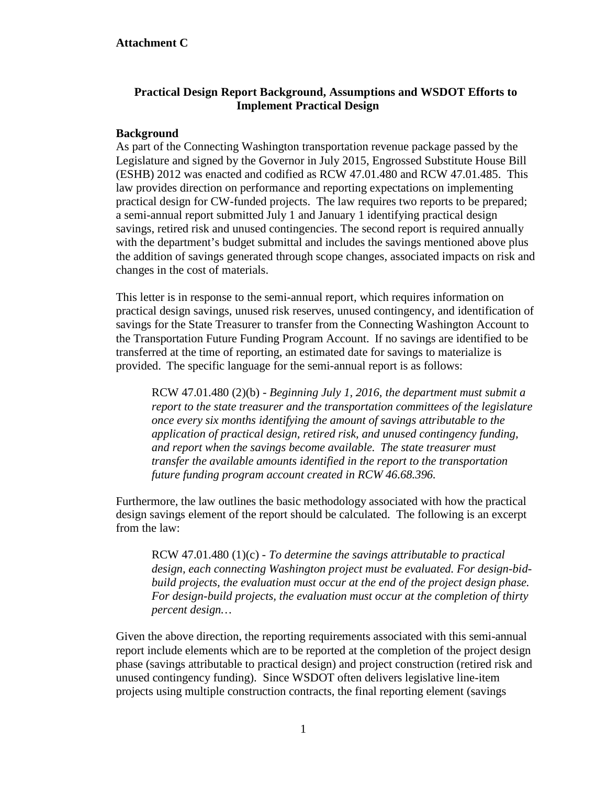## **Practical Design Report Background, Assumptions and WSDOT Efforts to Implement Practical Design**

## **Background**

As part of the Connecting Washington transportation revenue package passed by the Legislature and signed by the Governor in July 2015, Engrossed Substitute House Bill (ESHB) 2012 was enacted and codified as RCW 47.01.480 and RCW 47.01.485. This law provides direction on performance and reporting expectations on implementing practical design for CW-funded projects. The law requires two reports to be prepared; a semi-annual report submitted July 1 and January 1 identifying practical design savings, retired risk and unused contingencies. The second report is required annually with the department's budget submittal and includes the savings mentioned above plus the addition of savings generated through scope changes, associated impacts on risk and changes in the cost of materials.

This letter is in response to the semi-annual report, which requires information on practical design savings, unused risk reserves, unused contingency, and identification of savings for the State Treasurer to transfer from the Connecting Washington Account to the Transportation Future Funding Program Account. If no savings are identified to be transferred at the time of reporting, an estimated date for savings to materialize is provided. The specific language for the semi-annual report is as follows:

RCW 47.01.480 (2)(b) - *Beginning July 1, 2016, the department must submit a report to the state treasurer and the transportation committees of the legislature once every six months identifying the amount of savings attributable to the application of practical design, retired risk, and unused contingency funding, and report when the savings become available. The state treasurer must transfer the available amounts identified in the report to the transportation future funding program account created in RCW 46.68.396.*

Furthermore, the law outlines the basic methodology associated with how the practical design savings element of the report should be calculated. The following is an excerpt from the law:

RCW 47.01.480 (1)(c) *- To determine the savings attributable to practical design, each connecting Washington project must be evaluated. For design-bidbuild projects, the evaluation must occur at the end of the project design phase. For design-build projects, the evaluation must occur at the completion of thirty percent design…*

Given the above direction, the reporting requirements associated with this semi-annual report include elements which are to be reported at the completion of the project design phase (savings attributable to practical design) and project construction (retired risk and unused contingency funding). Since WSDOT often delivers legislative line-item projects using multiple construction contracts, the final reporting element (savings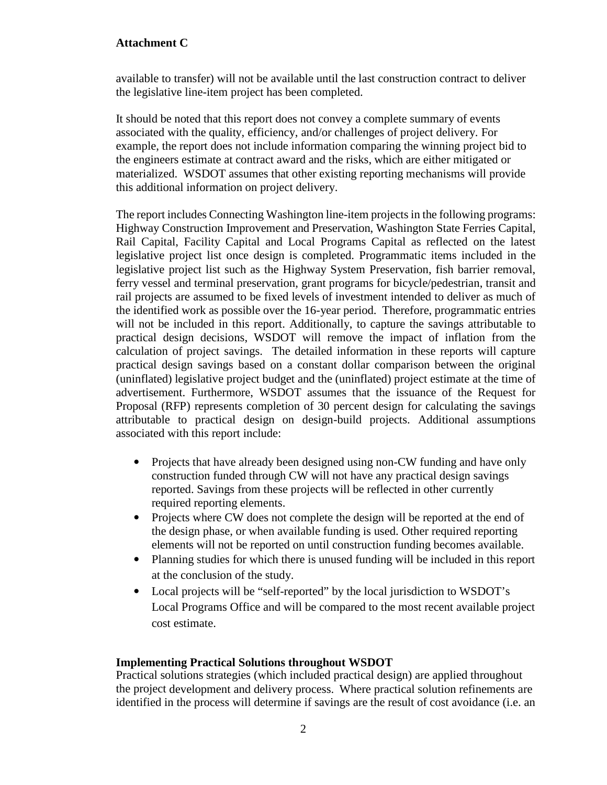available to transfer) will not be available until the last construction contract to deliver the legislative line-item project has been completed.

It should be noted that this report does not convey a complete summary of events associated with the quality, efficiency, and/or challenges of project delivery. For example, the report does not include information comparing the winning project bid to the engineers estimate at contract award and the risks, which are either mitigated or materialized. WSDOT assumes that other existing reporting mechanisms will provide this additional information on project delivery.

The report includes Connecting Washington line-item projects in the following programs: Highway Construction Improvement and Preservation, Washington State Ferries Capital, Rail Capital, Facility Capital and Local Programs Capital as reflected on the latest legislative project list once design is completed. Programmatic items included in the legislative project list such as the Highway System Preservation, fish barrier removal, ferry vessel and terminal preservation, grant programs for bicycle/pedestrian, transit and rail projects are assumed to be fixed levels of investment intended to deliver as much of the identified work as possible over the 16-year period. Therefore, programmatic entries will not be included in this report. Additionally, to capture the savings attributable to practical design decisions, WSDOT will remove the impact of inflation from the calculation of project savings. The detailed information in these reports will capture practical design savings based on a constant dollar comparison between the original (uninflated) legislative project budget and the (uninflated) project estimate at the time of advertisement. Furthermore, WSDOT assumes that the issuance of the Request for Proposal (RFP) represents completion of 30 percent design for calculating the savings attributable to practical design on design-build projects. Additional assumptions associated with this report include:

- Projects that have already been designed using non-CW funding and have only construction funded through CW will not have any practical design savings reported. Savings from these projects will be reflected in other currently required reporting elements.
- Projects where CW does not complete the design will be reported at the end of the design phase, or when available funding is used. Other required reporting elements will not be reported on until construction funding becomes available.
- Planning studies for which there is unused funding will be included in this report at the conclusion of the study.
- Local projects will be "self-reported" by the local jurisdiction to WSDOT's Local Programs Office and will be compared to the most recent available project cost estimate.

#### **Implementing Practical Solutions throughout WSDOT**

Practical solutions strategies (which included practical design) are applied throughout the project development and delivery process. Where practical solution refinements are identified in the process will determine if savings are the result of cost avoidance (i.e. an